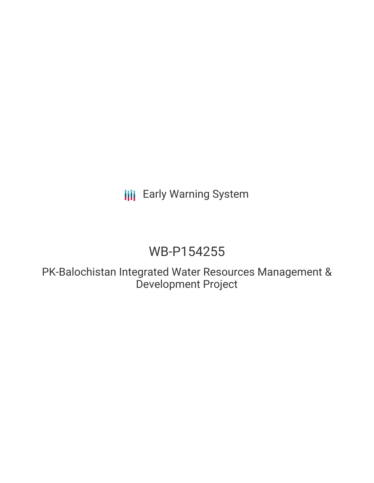# **III** Early Warning System

# WB-P154255

PK-Balochistan Integrated Water Resources Management & Development Project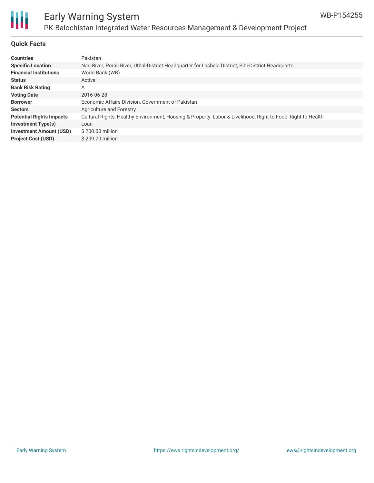# Ш

### Early Warning System PK-Balochistan Integrated Water Resources Management & Development Project

### **Quick Facts**

| <b>Countries</b>                | Pakistan                                                                                                     |
|---------------------------------|--------------------------------------------------------------------------------------------------------------|
| <b>Specific Location</b>        | Nari River, Porali River, Uthal-District Headquarter for Lasbela District, Sibi-District Headquarte          |
| <b>Financial Institutions</b>   | World Bank (WB)                                                                                              |
| <b>Status</b>                   | Active                                                                                                       |
| <b>Bank Risk Rating</b>         | А                                                                                                            |
| <b>Voting Date</b>              | 2016-06-28                                                                                                   |
| <b>Borrower</b>                 | Economic Affairs Division, Government of Pakistan                                                            |
| <b>Sectors</b>                  | Agriculture and Forestry                                                                                     |
| <b>Potential Rights Impacts</b> | Cultural Rights, Healthy Environment, Housing & Property, Labor & Livelihood, Right to Food, Right to Health |
| <b>Investment Type(s)</b>       | Loan                                                                                                         |
| <b>Investment Amount (USD)</b>  | \$200.00 million                                                                                             |
| <b>Project Cost (USD)</b>       | \$209.70 million                                                                                             |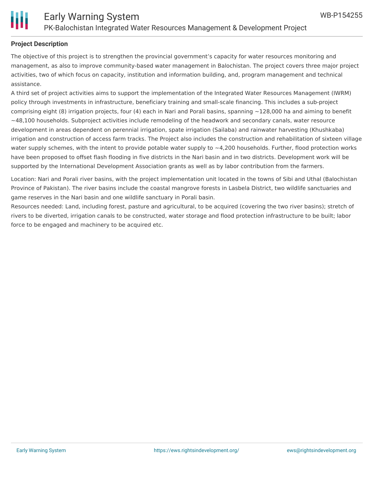

### **Project Description**

The objective of this project is to strengthen the provincial government's capacity for water resources monitoring and management, as also to improve community-based water management in Balochistan. The project covers three major project activities, two of which focus on capacity, institution and information building, and, program management and technical assistance.

A third set of project activities aims to support the implementation of the Integrated Water Resources Management (IWRM) policy through investments in infrastructure, beneficiary training and small-scale financing. This includes a sub-project comprising eight (8) irrigation projects, four (4) each in Nari and Porali basins, spanning  $\sim$ 128,000 ha and aiming to benefit  $\sim$ 48,100 households. Subproject activities include remodeling of the headwork and secondary canals, water resource development in areas dependent on perennial irrigation, spate irrigation (Sailaba) and rainwater harvesting (Khushkaba) irrigation and construction of access farm tracks. The Project also includes the construction and rehabilitation of sixteen village water supply schemes, with the intent to provide potable water supply to  $\sim$ 4,200 households. Further, flood protection works have been proposed to offset flash flooding in five districts in the Nari basin and in two districts. Development work will be supported by the International Development Association grants as well as by labor contribution from the farmers.

Location: Nari and Porali river basins, with the project implementation unit located in the towns of Sibi and Uthal (Balochistan Province of Pakistan). The river basins include the coastal mangrove forests in Lasbela District, two wildlife sanctuaries and game reserves in the Nari basin and one wildlife sanctuary in Porali basin.

Resources needed: Land, including forest, pasture and agricultural, to be acquired (covering the two river basins); stretch of rivers to be diverted, irrigation canals to be constructed, water storage and flood protection infrastructure to be built; labor force to be engaged and machinery to be acquired etc.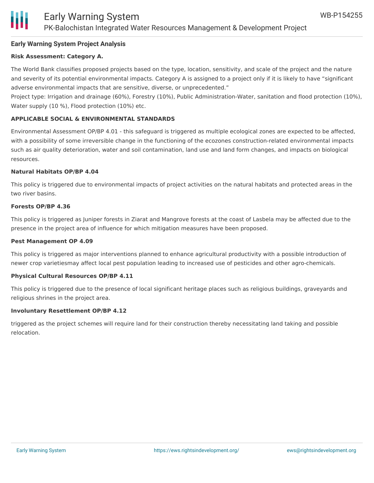### **Early Warning System Project Analysis**

### **Risk Assessment: Category A.**

The World Bank classifies proposed projects based on the type, location, sensitivity, and scale of the project and the nature and severity of its potential environmental impacts. Category A is assigned to a project only if it is likely to have "significant adverse environmental impacts that are sensitive, diverse, or unprecedented."

Project type: Irrigation and drainage (60%), Forestry (10%), Public Administration-Water, sanitation and flood protection (10%), Water supply (10 %), Flood protection (10%) etc.

### **APPLICABLE SOCIAL & ENVIRONMENTAL STANDARDS**

Environmental Assessment OP/BP 4.01 - this safeguard is triggered as multiple ecological zones are expected to be affected, with a possibility of some irreversible change in the functioning of the ecozones construction-related environmental impacts such as air quality deterioration, water and soil contamination, land use and land form changes, and impacts on biological resources.

### **Natural Habitats OP/BP 4.04**

This policy is triggered due to environmental impacts of project activities on the natural habitats and protected areas in the two river basins.

### **Forests OP/BP 4.36**

This policy is triggered as Juniper forests in Ziarat and Mangrove forests at the coast of Lasbela may be affected due to the presence in the project area of influence for which mitigation measures have been proposed.

### **Pest Management OP 4.09**

This policy is triggered as major interventions planned to enhance agricultural productivity with a possible introduction of newer crop varietiesmay affect local pest population leading to increased use of pesticides and other agro-chemicals.

### **Physical Cultural Resources OP/BP 4.11**

This policy is triggered due to the presence of local significant heritage places such as religious buildings, graveyards and religious shrines in the project area.

### **Involuntary Resettlement OP/BP 4.12**

triggered as the project schemes will require land for their construction thereby necessitating land taking and possible relocation.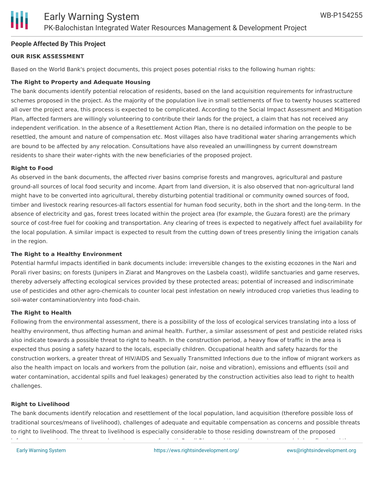### **People Affected By This Project**

### **OUR RISK ASSESSMENT**

Based on the World Bank's project documents, this project poses potential risks to the following human rights:

### **The Right to Property and Adequate Housing**

The bank documents identify potential relocation of residents, based on the land acquisition requirements for infrastructure schemes proposed in the project. As the majority of the population live in small settlements of five to twenty houses scattered all over the project area, this process is expected to be complicated. According to the Social Impact Assessment and Mitigation Plan, affected farmers are willingly volunteering to contribute their lands for the project, a claim that has not received any independent verification. In the absence of a Resettlement Action Plan, there is no detailed information on the people to be resettled, the amount and nature of compensation etc. Most villages also have traditional water sharing arrangements which are bound to be affected by any relocation. Consultations have also revealed an unwillingness by current downstream residents to share their water-rights with the new beneficiaries of the proposed project.

### **Right to Food**

As observed in the bank documents, the affected river basins comprise forests and mangroves, agricultural and pasture ground-all sources of local food security and income. Apart from land diversion, it is also observed that non-agricultural land might have to be converted into agricultural, thereby disturbing potential traditional or community owned sources of food, timber and livestock rearing resources-all factors essential for human food security, both in the short and the long-term. In the absence of electricity and gas, forest trees located within the project area (for example, the Guzara forest) are the primary source of cost-free fuel for cooking and transportation. Any clearing of trees is expected to negatively affect fuel availability for the local population. A similar impact is expected to result from the cutting down of trees presently lining the irrigation canals in the region.

### **The Right to a Healthy Environment**

Potential harmful impacts identified in bank documents include: irreversible changes to the existing ecozones in the Nari and Porali river basins; on forests (Junipers in Ziarat and Mangroves on the Lasbela coast), wildlife sanctuaries and game reserves, thereby adversely affecting ecological services provided by these protected areas; potential of increased and indiscriminate use of pesticides and other agro-chemicals to counter local pest infestation on newly introduced crop varieties thus leading to soil-water contamination/entry into food-chain.

### **The Right to Health**

Following from the environmental assessment, there is a possibility of the loss of ecological services translating into a loss of healthy environment, thus affecting human and animal health. Further, a similar assessment of pest and pesticide related risks also indicate towards a possible threat to right to health. In the construction period, a heavy flow of traffic in the area is expected thus posing a safety hazard to the locals, especially children. Occupational health and safety hazards for the construction workers, a greater threat of HIV/AIDS and Sexually Transmitted Infections due to the inflow of migrant workers as also the health impact on locals and workers from the pollution (air, noise and vibration), emissions and effluents (soil and water contamination, accidental spills and fuel leakages) generated by the construction activities also lead to right to health challenges.

### **Right to Livelihood**

The bank documents identify relocation and resettlement of the local population, land acquisition (therefore possible loss of traditional sources/means of livelihood), challenges of adequate and equitable compensation as concerns and possible threats to right to livelihood. The threat to livelihood is especially considerable to those residing downstream of the proposed infrastructure schemes (there are downstream users for both Porali River and Kannar Kareze's perennial river flow) and those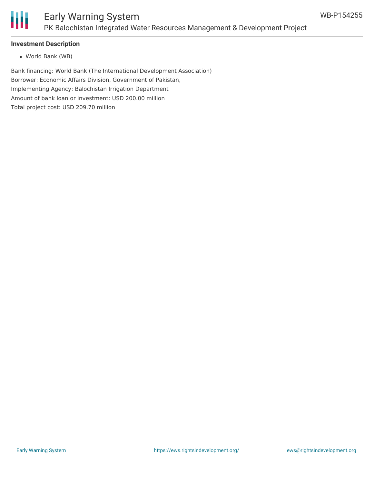

### **Investment Description**

World Bank (WB)

Bank financing: World Bank (The International Development Association) Borrower: Economic Affairs Division, Government of Pakistan, Implementing Agency: Balochistan Irrigation Department Amount of bank loan or investment: USD 200.00 million Total project cost: USD 209.70 million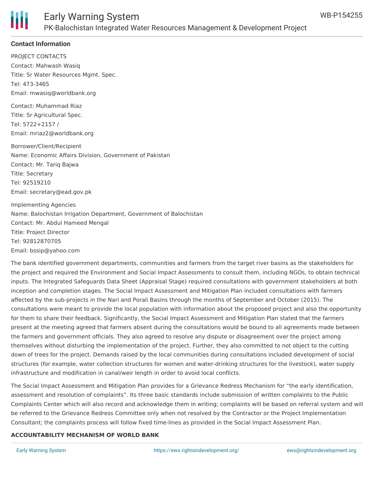

### **Contact Information**

PROJECT CONTACTS Contact: Mahwash Wasiq Title: Sr Water Resources Mgmt. Spec. Tel: 473-3465 Email: mwasiq@worldbank.org

Contact: Muhammad Riaz Title: Sr Agricultural Spec. Tel: 5722+2157 / Email: mriaz2@worldbank.org

Borrower/Client/Recipient Name: Economic Affairs Division, Government of Pakistan Contact: Mr. Tariq Bajwa Title: Secretary Tel: 92519210 Email: secretary@ead.gov.pk

Implementing Agencies Name: Balochistan Irrigation Department, Government of Balochistan Contact: Mr. Abdul Hameed Mengal Title: Project Director Tel: 92812870705 Email: bssip@yahoo.com

The bank identified government departments, communities and farmers from the target river basins as the stakeholders for the project and required the Environment and Social Impact Assessments to consult them, including NGOs, to obtain technical inputs. The Integrated Safeguards Data Sheet (Appraisal Stage) required consultations with government stakeholders at both inception and completion stages. The Social Impact Assessment and Mitigation Plan included consultations with farmers affected by the sub-projects in the Nari and Porali Basins through the months of September and October (2015). The consultations were meant to provide the local population with information about the proposed project and also the opportunity for them to share their feedback. Significantly, the Social Impact Assessment and Mitigation Plan stated that the farmers present at the meeting agreed that farmers absent during the consultations would be bound to all agreements made between the farmers and government officials. They also agreed to resolve any dispute or disagreement over the project among themselves without disturbing the implementation of the project. Further, they also committed to not object to the cutting down of trees for the project. Demands raised by the local communities during consultations included development of social structures (for example, water collection structures for women and water-drinking structures for the livestock), water supply infrastructure and modification in canal/weir length in order to avoid local conflicts.

The Social Impact Assessment and Mitigation Plan provides for a Grievance Redress Mechanism for "the early identification, assessment and resolution of complaints". Its three basic standards include submission of written complaints to the Public Complaints Center which will also record and acknowledge them in writing; complaints will be based on referral system and will be referred to the Grievance Redress Committee only when not resolved by the Contractor or the Project Implementation Consultant; the complaints process will follow fixed time-lines as provided in the Social Impact Assessment Plan.

### **ACCOUNTABILITY MECHANISM OF WORLD BANK**